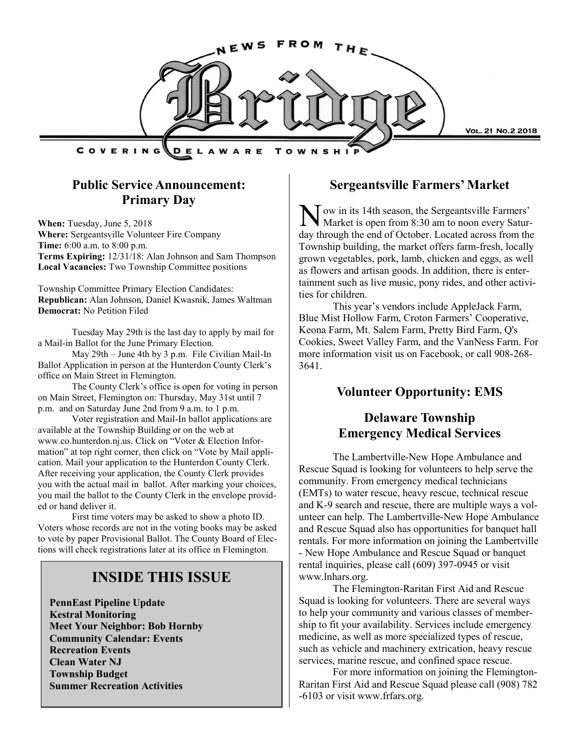

## **Public Service Announcement: Primary Day**

**When:** Tuesday, June 5, 2018 **Where:** Sergeantsville Volunteer Fire Company **Time:** 6:00 a.m. to 8:00 p.m. **Terms Expiring:** 12/31/18: Alan Johnson and Sam Thompson **Local Vacancies:** Two Township Committee positions

Township Committee Primary Election Candidates: **Republican:** Alan Johnson, Daniel Kwasnik, James Waltman **Democrat:** No Petition Filed

Tuesday May 29th is the last day to apply by mail for a Mail-in Ballot for the June Primary Election.

May 29th – June 4th by 3 p.m. File Civilian Mail-In Ballot Application in person at the Hunterdon County Clerk's office on Main Street in Flemington.

The County Clerk's office is open for voting in person on Main Street, Flemington on: Thursday, May 31st until 7 p.m. and on Saturday June 2nd from 9 a.m. to 1 p.m.

Voter registration and Mail-In ballot applications are available at the Township Building or on the web at www.co.hunterdon.nj.us. Click on "Voter & Election Information" at top right corner, then click on "Vote by Mail application. Mail your application to the Hunterdon County Clerk. After receiving your application, the County Clerk provides you with the actual mail in ballot. After marking your choices, you mail the ballot to the County Clerk in the envelope provided or hand deliver it.

First time voters may be asked to show a photo ID. Voters whose records are not in the voting books may be asked to vote by paper Provisional Ballot. The County Board of Elections will check registrations later at its office in Flemington.

## **INSIDE THIS ISSUE**

**PennEast Pipeline Update Kestral Monitoring Meet Your Neighbor: Bob Hornby Community Calendar: Events Recreation Events Clean Water NJ Township Budget Summer Recreation Activities**

#### **Sergeantsville Farmers' Market**

N Tow in its 14th season, the Sergeantsville Farmers' Market is open from 8:30 am to noon every Saturday through the end of October. Located across from the Township building, the market offers farm-fresh, locally grown vegetables, pork, lamb, chicken and eggs, as well as flowers and artisan goods. In addition, there is entertainment such as live music, pony rides, and other activities for children.

This year's vendors include AppleJack Farm, Blue Mist Hollow Farm, Croton Farmers' Cooperative, Keona Farm, Mt. Salem Farm, Pretty Bird Farm, Q's Cookies, Sweet Valley Farm, and the VanNess Farm. For more information visit us on Facebook, or call 908-268- 3641.

## **Volunteer Opportunity: EMS**

## **Delaware Township Emergency Medical Services**

The Lambertville-New Hope Ambulance and Rescue Squad is looking for volunteers to help serve the community. From emergency medical technicians (EMTs) to water rescue, heavy rescue, technical rescue and K-9 search and rescue, there are multiple ways a volunteer can help. The Lambertville-New Hope Ambulance and Rescue Squad also has opportunities for banquet hall rentals. For more information on joining the Lambertville - New Hope Ambulance and Rescue Squad or banquet rental inquiries, please call (609) 397-0945 or visit www.lnhars.org.

The Flemington-Raritan First Aid and Rescue Squad is looking for volunteers. There are several ways to help your community and various classes of membership to fit your availability. Services include emergency medicine, as well as more specialized types of rescue, such as vehicle and machinery extrication, heavy rescue services, marine rescue, and confined space rescue.

For more information on joining the Flemington-Raritan First Aid and Rescue Squad please call (908) 782 -6103 or visit www.frfars.org.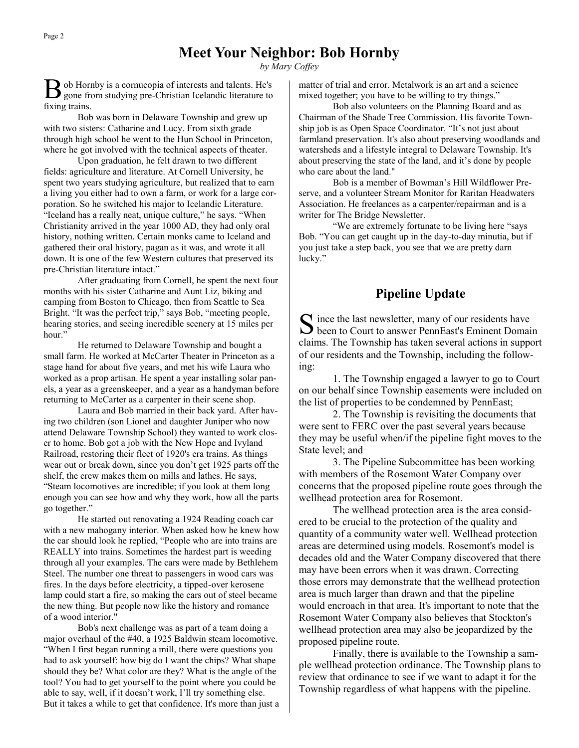## **Meet Your Neighbor: Bob Hornby**

*by Mary Coffey*

B ob Hornby is a cornucopia of interests and talents. He's gone from studying pre-Christian Icelandic literature to gone from studying pre-Christian Icelandic literature to fixing trains.

Bob was born in Delaware Township and grew up with two sisters: Catharine and Lucy. From sixth grade through high school he went to the Hun School in Princeton, where he got involved with the technical aspects of theater.

Upon graduation, he felt drawn to two different fields: agriculture and literature. At Cornell University, he spent two years studying agriculture, but realized that to earn a living you either had to own a farm, or work for a large corporation. So he switched his major to Icelandic Literature. "Iceland has a really neat, unique culture," he says. "When Christianity arrived in the year 1000 AD, they had only oral history, nothing written. Certain monks came to Iceland and gathered their oral history, pagan as it was, and wrote it all down. It is one of the few Western cultures that preserved its pre-Christian literature intact."

After graduating from Cornell, he spent the next four months with his sister Catharine and Aunt Liz, biking and camping from Boston to Chicago, then from Seattle to Sea Bright. "It was the perfect trip," says Bob, "meeting people, hearing stories, and seeing incredible scenery at 15 miles per hour."

He returned to Delaware Township and bought a small farm. He worked at McCarter Theater in Princeton as a stage hand for about five years, and met his wife Laura who worked as a prop artisan. He spent a year installing solar panels, a year as a greenskeeper, and a year as a handyman before returning to McCarter as a carpenter in their scene shop.

Laura and Bob married in their back yard. After having two children (son Lionel and daughter Juniper who now attend Delaware Township School) they wanted to work closer to home. Bob got a job with the New Hope and Ivyland Railroad, restoring their fleet of 1920's era trains. As things wear out or break down, since you don't get 1925 parts off the shelf, the crew makes them on mills and lathes. He says, "Steam locomotives are incredible; if you look at them long enough you can see how and why they work, how all the parts go together."

He started out renovating a 1924 Reading coach car with a new mahogany interior. When asked how he knew how the car should look he replied, "People who are into trains are REALLY into trains. Sometimes the hardest part is weeding through all your examples. The cars were made by Bethlehem Steel. The number one threat to passengers in wood cars was fires. In the days before electricity, a tipped-over kerosene lamp could start a fire, so making the cars out of steel became the new thing. But people now like the history and romance of a wood interior."

Bob's next challenge was as part of a team doing a major overhaul of the #40, a 1925 Baldwin steam locomotive. "When I first began running a mill, there were questions you had to ask yourself: how big do I want the chips? What shape should they be? What color are they? What is the angle of the tool? You had to get yourself to the point where you could be able to say, well, if it doesn't work, I'll try something else. But it takes a while to get that confidence. It's more than just a matter of trial and error. Metalwork is an art and a science mixed together; you have to be willing to try things."

Bob also volunteers on the Planning Board and as Chairman of the Shade Tree Commission. His favorite Township job is as Open Space Coordinator. "It's not just about farmland preservation. It's also about preserving woodlands and watersheds and a lifestyle integral to Delaware Township. It's about preserving the state of the land, and it's done by people who care about the land."

Bob is a member of Bowman's Hill Wildflower Preserve, and a volunteer Stream Monitor for Raritan Headwaters Association. He freelances as a carpenter/repairman and is a writer for The Bridge Newsletter.

"We are extremely fortunate to be living here "says Bob. "You can get caught up in the day-to-day minutia, but if you just take a step back, you see that we are pretty darn lucky."

### **Pipeline Update**

S ince the last newsletter, many of our residents have<br>been to Court to answer PennEast's Eminent Domain  $\Gamma$  ince the last newsletter, many of our residents have claims. The Township has taken several actions in support of our residents and the Township, including the following:

1. The Township engaged a lawyer to go to Court on our behalf since Township easements were included on the list of properties to be condemned by PennEast;

2. The Township is revisiting the documents that were sent to FERC over the past several years because they may be useful when/if the pipeline fight moves to the State level; and

3. The Pipeline Subcommittee has been working with members of the Rosemont Water Company over concerns that the proposed pipeline route goes through the wellhead protection area for Rosemont.

The wellhead protection area is the area considered to be crucial to the protection of the quality and quantity of a community water well. Wellhead protection areas are determined using models. Rosemont's model is decades old and the Water Company discovered that there may have been errors when it was drawn. Correcting those errors may demonstrate that the wellhead protection area is much larger than drawn and that the pipeline would encroach in that area. It's important to note that the Rosemont Water Company also believes that Stockton's wellhead protection area may also be jeopardized by the proposed pipeline route.

Finally, there is available to the Township a sample wellhead protection ordinance. The Township plans to review that ordinance to see if we want to adapt it for the Township regardless of what happens with the pipeline.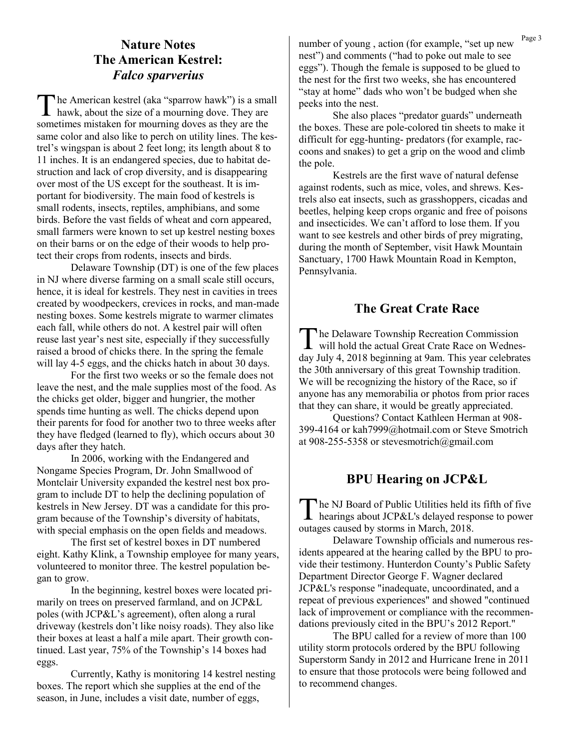## **Nature Notes The American Kestrel:**  *Falco sparverius*

The American kestrel (aka "sparrow hawk") is a sma<br>hawk, about the size of a mourning dove. They are he American kestrel (aka "sparrow hawk") is a small sometimes mistaken for mourning doves as they are the same color and also like to perch on utility lines. The kestrel's wingspan is about 2 feet long; its length about 8 to 11 inches. It is an endangered species, due to habitat destruction and lack of crop diversity, and is disappearing over most of the US except for the southeast. It is important for biodiversity. The main food of kestrels is small rodents, insects, reptiles, amphibians, and some birds. Before the vast fields of wheat and corn appeared, small farmers were known to set up kestrel nesting boxes on their barns or on the edge of their woods to help protect their crops from rodents, insects and birds.

Delaware Township (DT) is one of the few places in NJ where diverse farming on a small scale still occurs, hence, it is ideal for kestrels. They nest in cavities in trees created by woodpeckers, crevices in rocks, and man-made nesting boxes. Some kestrels migrate to warmer climates each fall, while others do not. A kestrel pair will often reuse last year's nest site, especially if they successfully raised a brood of chicks there. In the spring the female will lay 4-5 eggs, and the chicks hatch in about 30 days.

For the first two weeks or so the female does not leave the nest, and the male supplies most of the food. As the chicks get older, bigger and hungrier, the mother spends time hunting as well. The chicks depend upon their parents for food for another two to three weeks after they have fledged (learned to fly), which occurs about 30 days after they hatch.

In 2006, working with the Endangered and Nongame Species Program, Dr. John Smallwood of Montclair University expanded the kestrel nest box program to include DT to help the declining population of kestrels in New Jersey. DT was a candidate for this program because of the Township's diversity of habitats, with special emphasis on the open fields and meadows.

The first set of kestrel boxes in DT numbered eight. Kathy Klink, a Township employee for many years, volunteered to monitor three. The kestrel population began to grow.

In the beginning, kestrel boxes were located primarily on trees on preserved farmland, and on JCP&L poles (with JCP&L's agreement), often along a rural driveway (kestrels don't like noisy roads). They also like their boxes at least a half a mile apart. Their growth continued. Last year, 75% of the Township's 14 boxes had eggs.

Currently, Kathy is monitoring 14 kestrel nesting boxes. The report which she supplies at the end of the season, in June, includes a visit date, number of eggs,

number of young, action (for example, "set up new <sup>Page 3</sup> nest") and comments ("had to poke out male to see eggs"). Though the female is supposed to be glued to the nest for the first two weeks, she has encountered "stay at home" dads who won't be budged when she peeks into the nest.

She also places "predator guards" underneath the boxes. These are pole-colored tin sheets to make it difficult for egg-hunting- predators (for example, raccoons and snakes) to get a grip on the wood and climb the pole.

Kestrels are the first wave of natural defense against rodents, such as mice, voles, and shrews. Kestrels also eat insects, such as grasshoppers, cicadas and beetles, helping keep crops organic and free of poisons and insecticides. We can't afford to lose them. If you want to see kestrels and other birds of prey migrating, during the month of September, visit Hawk Mountain Sanctuary, 1700 Hawk Mountain Road in Kempton, Pennsylvania.

## **The Great Crate Race**

The Delaware Township Recreation Commission<br>will hold the actual Great Crate Race on Wednes will hold the actual Great Crate Race on Wednesday July 4, 2018 beginning at 9am. This year celebrates the 30th anniversary of this great Township tradition. We will be recognizing the history of the Race, so if anyone has any memorabilia or photos from prior races that they can share, it would be greatly appreciated.

Questions? Contact Kathleen Herman at 908- 399-4164 or kah7999@hotmail.com or Steve Smotrich at 908-255-5358 or stevesmotrich@gmail.com

## **BPU Hearing on JCP&L**

The NJ Board of Public Utilities held its fifth of five<br>hearings about JCP&L's delayed response to power he NJ Board of Public Utilities held its fifth of five outages caused by storms in March, 2018.

Delaware Township officials and numerous residents appeared at the hearing called by the BPU to provide their testimony. Hunterdon County's Public Safety Department Director George F. Wagner declared JCP&L's response "inadequate, uncoordinated, and a repeat of previous experiences" and showed "continued lack of improvement or compliance with the recommendations previously cited in the BPU's 2012 Report."

The BPU called for a review of more than 100 utility storm protocols ordered by the BPU following Superstorm Sandy in 2012 and Hurricane Irene in 2011 to ensure that those protocols were being followed and to recommend changes.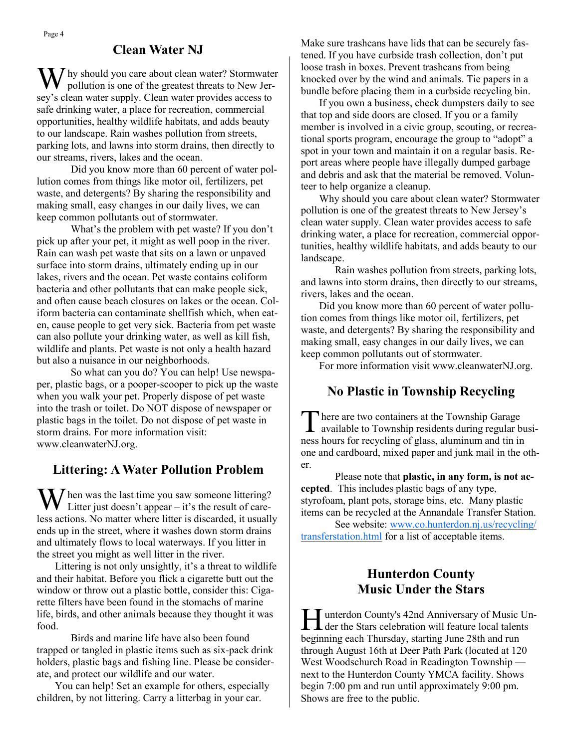#### **Clean Water NJ**

 $\mathbf{M}$  hy should you care about clean water? Stormwater pollution is one of the greatest threats to New Jersey's clean water supply. Clean water provides access to safe drinking water, a place for recreation, commercial opportunities, healthy wildlife habitats, and adds beauty to our landscape. Rain washes pollution from streets, parking lots, and lawns into storm drains, then directly to our streams, rivers, lakes and the ocean.

Did you know more than 60 percent of water pollution comes from things like motor oil, fertilizers, pet waste, and detergents? By sharing the responsibility and making small, easy changes in our daily lives, we can keep common pollutants out of stormwater.

What's the problem with pet waste? If you don't pick up after your pet, it might as well poop in the river. Rain can wash pet waste that sits on a lawn or unpaved surface into storm drains, ultimately ending up in our lakes, rivers and the ocean. Pet waste contains coliform bacteria and other pollutants that can make people sick, and often cause beach closures on lakes or the ocean. Coliform bacteria can contaminate shellfish which, when eaten, cause people to get very sick. Bacteria from pet waste can also pollute your drinking water, as well as kill fish, wildlife and plants. Pet waste is not only a health hazard but also a nuisance in our neighborhoods.

So what can you do? You can help! Use newspaper, plastic bags, or a pooper-scooper to pick up the waste when you walk your pet. Properly dispose of pet waste into the trash or toilet. Do NOT dispose of newspaper or plastic bags in the toilet. Do not dispose of pet waste in storm drains. For more information visit: www.cleanwaterNJ.org.

#### **Littering: A Water Pollution Problem**

W hen was the last time you saw someone littering?<br>Litter just doesn't appear – it's the result of careless actions. No matter where litter is discarded, it usually ends up in the street, where it washes down storm drains and ultimately flows to local waterways. If you litter in the street you might as well litter in the river.

 Littering is not only unsightly, it's a threat to wildlife and their habitat. Before you flick a cigarette butt out the window or throw out a plastic bottle, consider this: Cigarette filters have been found in the stomachs of marine life, birds, and other animals because they thought it was food.

Birds and marine life have also been found trapped or tangled in plastic items such as six-pack drink holders, plastic bags and fishing line. Please be considerate, and protect our wildlife and our water.

 You can help! Set an example for others, especially children, by not littering. Carry a litterbag in your car.

Make sure trashcans have lids that can be securely fastened. If you have curbside trash collection, don't put loose trash in boxes. Prevent trashcans from being knocked over by the wind and animals. Tie papers in a bundle before placing them in a curbside recycling bin.

 If you own a business, check dumpsters daily to see that top and side doors are closed. If you or a family member is involved in a civic group, scouting, or recreational sports program, encourage the group to "adopt" a spot in your town and maintain it on a regular basis. Report areas where people have illegally dumped garbage and debris and ask that the material be removed. Volunteer to help organize a cleanup.

 Why should you care about clean water? Stormwater pollution is one of the greatest threats to New Jersey's clean water supply. Clean water provides access to safe drinking water, a place for recreation, commercial opportunities, healthy wildlife habitats, and adds beauty to our landscape.

Rain washes pollution from streets, parking lots, and lawns into storm drains, then directly to our streams, rivers, lakes and the ocean.

 Did you know more than 60 percent of water pollution comes from things like motor oil, fertilizers, pet waste, and detergents? By sharing the responsibility and making small, easy changes in our daily lives, we can keep common pollutants out of stormwater.

For more information visit www.cleanwaterNJ.org.

## **No Plastic in Township Recycling**

There are two containers at the Township Garage<br>available to Township residents during regular busihere are two containers at the Township Garage ness hours for recycling of glass, aluminum and tin in one and cardboard, mixed paper and junk mail in the other.

Please note that **plastic, in any form, is not accepted**. This includes plastic bags of any type, styrofoam, plant pots, storage bins, etc. Many plastic items can be recycled at the Annandale Transfer Station.

See website: [www.co.hunterdon.nj.us/recycling/](http://www.co.hunterdon.nj.us/recycling/transferstation.html) [transferstation.html](http://www.co.hunterdon.nj.us/recycling/transferstation.html) for a list of acceptable items.

## **Hunterdon County Music Under the Stars**

Hunterdon County's 42nd Anniversary of Music Un-<br>der the Stars celebration will feature local talents  $\blacktriangle$  der the Stars celebration will feature local talents beginning each Thursday, starting June 28th and run through August 16th at Deer Path Park (located at 120 West Woodschurch Road in Readington Township next to the Hunterdon County YMCA facility. Shows begin 7:00 pm and run until approximately 9:00 pm. Shows are free to the public.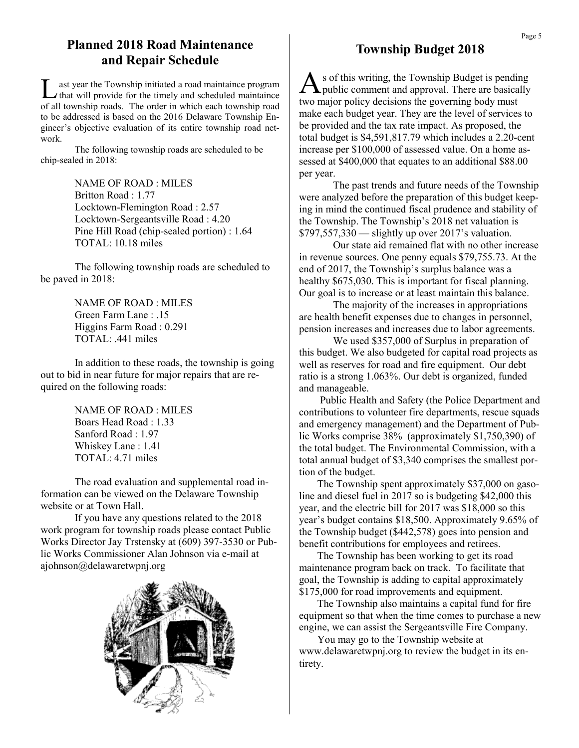## **Planned 2018 Road Maintenance and Repair Schedule**

L ast year the Township initiated a road maintaince program that will provide for the timely and scheduled maintaince of all township roads. The order in which each township road to be addressed is based on the 2016 Delaware Township Engineer's objective evaluation of its entire township road network.

The following township roads are scheduled to be chip-sealed in 2018:

> NAME OF ROAD : MILES Britton Road : 1.77 Locktown-Flemington Road : 2.57 Locktown-Sergeantsville Road : 4.20 Pine Hill Road (chip-sealed portion) : 1.64 TOTAL: 10.18 miles

The following township roads are scheduled to be paved in 2018:

> NAME OF ROAD : MILES Green Farm Lane : .15 Higgins Farm Road : 0.291 TOTAL: .441 miles

In addition to these roads, the township is going out to bid in near future for major repairs that are required on the following roads:

> NAME OF ROAD : MILES Boars Head Road : 1.33 Sanford Road : 1.97 Whiskey Lane : 1.41 TOTAL: 4.71 miles

The road evaluation and supplemental road information can be viewed on the Delaware Township website or at Town Hall.

If you have any questions related to the 2018 work program for township roads please contact Public Works Director Jay Trstensky at (609) 397-3530 or Public Works Commissioner Alan Johnson via e-mail at ajohnson@delawaretwpnj.org



## **Township Budget 2018**

A s of this writing, the Township Budget is pending public comment and approval. There are basically two major policy decisions the governing body must make each budget year. They are the level of services to be provided and the tax rate impact. As proposed, the total budget is \$4,591,817.79 which includes a 2.20-cent increase per \$100,000 of assessed value. On a home assessed at \$400,000 that equates to an additional \$88.00 per year.

The past trends and future needs of the Township were analyzed before the preparation of this budget keeping in mind the continued fiscal prudence and stability of the Township. The Township's 2018 net valuation is \$797,557,330 — slightly up over 2017's valuation.

Our state aid remained flat with no other increase in revenue sources. One penny equals \$79,755.73. At the end of 2017, the Township's surplus balance was a healthy \$675,030. This is important for fiscal planning. Our goal is to increase or at least maintain this balance.

The majority of the increases in appropriations are health benefit expenses due to changes in personnel, pension increases and increases due to labor agreements.

We used \$357,000 of Surplus in preparation of this budget. We also budgeted for capital road projects as well as reserves for road and fire equipment. Our debt ratio is a strong 1.063%. Our debt is organized, funded and manageable.

 Public Health and Safety (the Police Department and contributions to volunteer fire departments, rescue squads and emergency management) and the Department of Public Works comprise 38% (approximately \$1,750,390) of the total budget. The Environmental Commission, with a total annual budget of \$3,340 comprises the smallest portion of the budget.

 The Township spent approximately \$37,000 on gasoline and diesel fuel in 2017 so is budgeting \$42,000 this year, and the electric bill for 2017 was \$18,000 so this year's budget contains \$18,500. Approximately 9.65% of the Township budget (\$442,578) goes into pension and benefit contributions for employees and retirees.

 The Township has been working to get its road maintenance program back on track. To facilitate that goal, the Township is adding to capital approximately \$175,000 for road improvements and equipment.

 The Township also maintains a capital fund for fire equipment so that when the time comes to purchase a new engine, we can assist the Sergeantsville Fire Company.

 You may go to the Township website at www.delawaretwpnj.org to review the budget in its entirety.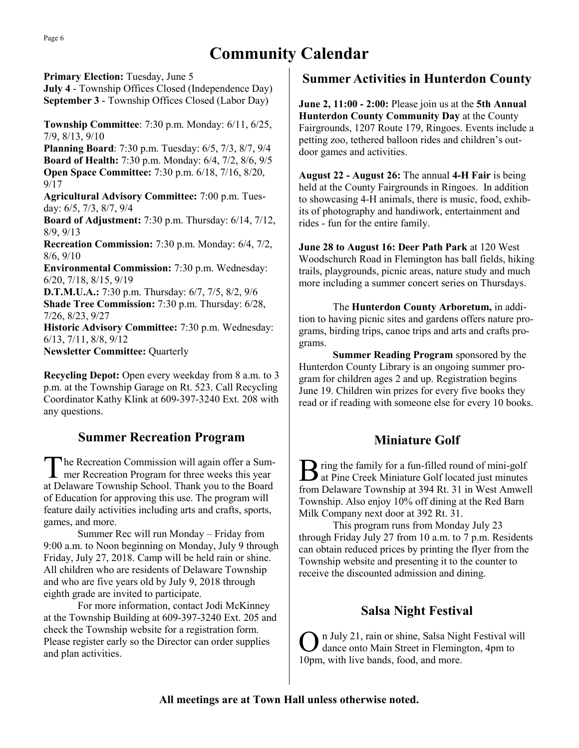# **Community Calendar**

**Primary Election:** Tuesday, June 5 **July 4** - Township Offices Closed (Independence Day) **September 3** - Township Offices Closed (Labor Day)

**Township Committee**: 7:30 p.m. Monday: 6/11, 6/25, 7/9, 8/13, 9/10 **Planning Board**: 7:30 p.m. Tuesday: 6/5, 7/3, 8/7, 9/4 **Board of Health:** 7:30 p.m. Monday: 6/4, 7/2, 8/6, 9/5 **Open Space Committee:** 7:30 p.m. 6/18, 7/16, 8/20, 9/17 **Agricultural Advisory Committee:** 7:00 p.m. Tuesday: 6/5, 7/3, 8/7, 9/4

**Board of Adjustment:** 7:30 p.m. Thursday: 6/14, 7/12, 8/9, 9/13

**Recreation Commission:** 7:30 p.m. Monday: 6/4, 7/2, 8/6, 9/10

**Environmental Commission:** 7:30 p.m. Wednesday: 6/20, 7/18, 8/15, 9/19

**D.T.M.U.A.:** 7:30 p.m. Thursday: 6/7, 7/5, 8/2, 9/6 **Shade Tree Commission:** 7:30 p.m. Thursday: 6/28, 7/26, 8/23, 9/27

**Historic Advisory Committee:** 7:30 p.m. Wednesday: 6/13, 7/11, 8/8, 9/12

**Newsletter Committee:** Quarterly

**Recycling Depot:** Open every weekday from 8 a.m. to 3 p.m. at the Township Garage on Rt. 523. Call Recycling Coordinator Kathy Klink at 609-397-3240 Ext. 208 with any questions.

## **Summer Recreation Program**

The Recreation Commission will again offer a Summer Recreation Program for three weeks this year he Recreation Commission will again offer a Sumat Delaware Township School. Thank you to the Board of Education for approving this use. The program will feature daily activities including arts and crafts, sports, games, and more.

Summer Rec will run Monday – Friday from 9:00 a.m. to Noon beginning on Monday, July 9 through Friday, July 27, 2018. Camp will be held rain or shine. All children who are residents of Delaware Township and who are five years old by July 9, 2018 through eighth grade are invited to participate.

For more information, contact Jodi McKinney at the Township Building at 609-397-3240 Ext. 205 and check the Township website for a registration form. Please register early so the Director can order supplies and plan activities.

## **Summer Activities in Hunterdon County**

**June 2, 11:00 - 2:00:** Please join us at the **5th Annual Hunterdon County Community Day** at the County Fairgrounds, 1207 Route 179, Ringoes. Events include a petting zoo, tethered balloon rides and children's outdoor games and activities.

**August 22 - August 26:** The annual **4-H Fair** is being held at the County Fairgrounds in Ringoes. In addition to showcasing 4-H animals, there is music, food, exhibits of photography and handiwork, entertainment and rides - fun for the entire family.

**June 28 to August 16: Deer Path Park** at 120 West Woodschurch Road in Flemington has ball fields, hiking trails, playgrounds, picnic areas, nature study and much more including a summer concert series on Thursdays.

The **Hunterdon County Arboretum,** in addition to having picnic sites and gardens offers nature programs, birding trips, canoe trips and arts and crafts programs.

**Summer Reading Program** sponsored by the Hunterdon County Library is an ongoing summer program for children ages 2 and up. Registration begins June 19. Children win prizes for every five books they read or if reading with someone else for every 10 books.

## **Miniature Golf**

B ring the family for a fun-filled round of mini-golf<br>at Pine Creek Miniature Golf located just minutes at Pine Creek Miniature Golf located just minutes from Delaware Township at 394 Rt. 31 in West Amwell Township. Also enjoy 10% off dining at the Red Barn Milk Company next door at 392 Rt. 31.

This program runs from Monday July 23 through Friday July 27 from 10 a.m. to 7 p.m. Residents can obtain reduced prices by printing the flyer from the Township website and presenting it to the counter to receive the discounted admission and dining.

## **Salsa Night Festival**

O n July 21, rain or shine, Salsa Night Festival will dance onto Main Street in Flemington, 4pm to 10pm, with live bands, food, and more.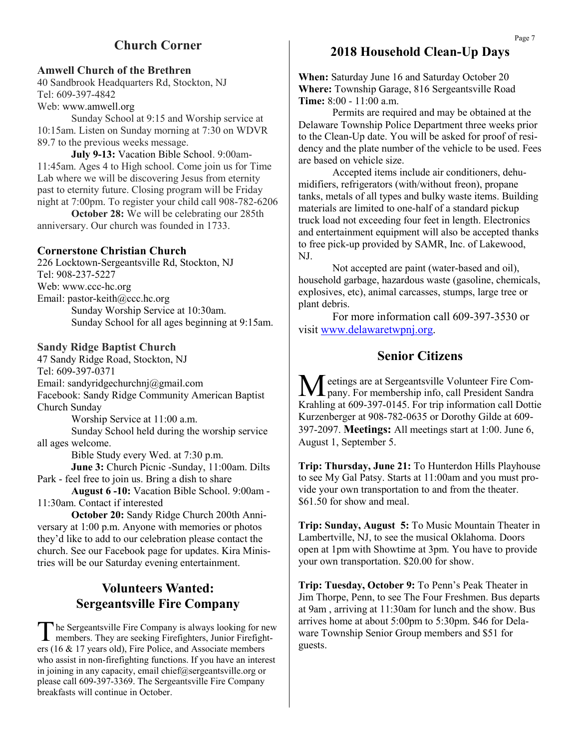## **Church Corner**

#### **Amwell Church of the Brethren**

40 Sandbrook Headquarters Rd, Stockton, NJ Tel: 609-397-4842 Web: www.amwell.org

Sunday School at 9:15 and Worship service at 10:15am. Listen on Sunday morning at 7:30 on WDVR 89.7 to the previous weeks message.

**July 9-13:** Vacation Bible School. 9:00am-11:45am. Ages 4 to High school. Come join us for Time Lab where we will be discovering Jesus from eternity past to eternity future. Closing program will be Friday night at 7:00pm. To register your child call 908-782-6206

**October 28:** We will be celebrating our 285th anniversary. Our church was founded in 1733.

#### **Cornerstone Christian Church**

226 Locktown-Sergeantsville Rd, Stockton, NJ Tel: 908-237-5227 Web: www.ccc-hc.org Email: pastor-keith@ccc.hc.org Sunday Worship Service at 10:30am. Sunday School for all ages beginning at 9:15am.

#### **Sandy Ridge Baptist Church**

47 Sandy Ridge Road, Stockton, NJ Tel: 609-397-0371 Email: sandyridgechurchnj@gmail.com Facebook: Sandy Ridge Community American Baptist Church Sunday Worship Service at 11:00 a.m.

Sunday School held during the worship service all ages welcome.

Bible Study every Wed. at 7:30 p.m.

**June 3:** Church Picnic -Sunday, 11:00am. Dilts Park - feel free to join us. Bring a dish to share

**August 6 -10:** Vacation Bible School. 9:00am - 11:30am. Contact if interested

**October 20:** Sandy Ridge Church 200th Anniversary at 1:00 p.m. Anyone with memories or photos they'd like to add to our celebration please contact the church. See our Facebook page for updates. Kira Ministries will be our Saturday evening entertainment.

## **Volunteers Wanted: Sergeantsville Fire Company**

The Sergeantsville Fire Company is always looking for no<br>members. They are seeking Firefighters, Junior Firefighters (16 & 17 years old), Fire Police, and Associate members he Sergeantsville Fire Company is always looking for new members. They are seeking Firefighters, Junior Firefightwho assist in non-firefighting functions. If you have an interest in joining in any capacity, email chief@sergeantsville.org or please call 609-397-3369. The Sergeantsville Fire Company breakfasts will continue in October.

### **2018 Household Clean-Up Days**

**When:** Saturday June 16 and Saturday October 20 **Where:** Township Garage, 816 Sergeantsville Road **Time:** 8:00 - 11:00 a.m.

Permits are required and may be obtained at the Delaware Township Police Department three weeks prior to the Clean-Up date. You will be asked for proof of residency and the plate number of the vehicle to be used. Fees are based on vehicle size.

Accepted items include air conditioners, dehumidifiers, refrigerators (with/without freon), propane tanks, metals of all types and bulky waste items. Building materials are limited to one-half of a standard pickup truck load not exceeding four feet in length. Electronics and entertainment equipment will also be accepted thanks to free pick-up provided by SAMR, Inc. of Lakewood, NJ.

Not accepted are paint (water-based and oil), household garbage, hazardous waste (gasoline, chemicals, explosives, etc), animal carcasses, stumps, large tree or plant debris.

For more information call 609-397-3530 or visit [www.delawaretwpnj.org.](http://www.delawaretwpnj.org)

#### **Senior Citizens**

Meetings are at Sergeantsville Volunteer Fire Company. For membership info, call President Sandra Krahling at 609-397-0145. For trip information call Dottie Kurzenberger at 908-782-0635 or Dorothy Gilde at 609- 397-2097. **Meetings:** All meetings start at 1:00. June 6, August 1, September 5.

**Trip: Thursday, June 21:** To Hunterdon Hills Playhouse to see My Gal Patsy. Starts at 11:00am and you must provide your own transportation to and from the theater. \$61.50 for show and meal.

**Trip: Sunday, August 5:** To Music Mountain Theater in Lambertville, NJ, to see the musical Oklahoma. Doors open at 1pm with Showtime at 3pm. You have to provide your own transportation. \$20.00 for show.

**Trip: Tuesday, October 9:** To Penn's Peak Theater in Jim Thorpe, Penn, to see The Four Freshmen. Bus departs at 9am , arriving at 11:30am for lunch and the show. Bus arrives home at about 5:00pm to 5:30pm. \$46 for Delaware Township Senior Group members and \$51 for guests.